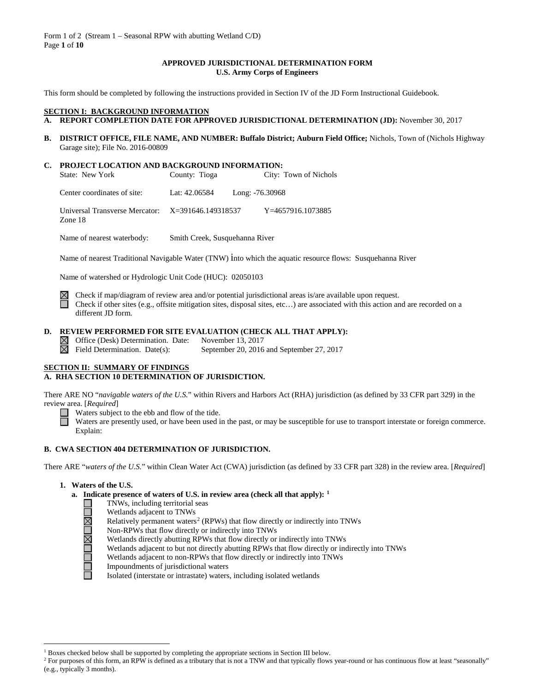Form 1 of 2 (Stream 1 – Seasonal RPW with abutting Wetland C/D) Page **1** of **10**

# **APPROVED JURISDICTIONAL DETERMINATION FORM U.S. Army Corps of Engineers**

This form should be completed by following the instructions provided in Section IV of the JD Form Instructional Guidebook.

# **SECTION I: BACKGROUND INFORMATION**<br>**A. REPORT COMPLETION DATE FOR APP**

- **A. REPORT COMPLETION DATE FOR APPROVED JURISDICTIONAL DETERMINATION (JD):** November 30, 2017
- **B. DISTRICT OFFICE, FILE NAME, AND NUMBER: Buffalo District; Auburn Field Office;** Nichols, Town of (Nichols Highway Garage site); File No. 2016-00809

# **C. PROJECT LOCATION AND BACKGROUND INFORMATION:**

| State: New York                                                | County: Tioga |                 | City: Town of Nichols |
|----------------------------------------------------------------|---------------|-----------------|-----------------------|
| Center coordinates of site:                                    | Lat: 42.06584 | Long: -76.30968 |                       |
| Universal Transverse Mercator: $X=391646.149318537$<br>Zone 18 |               |                 | Y=4657916.1073885     |

Name of nearest waterbody: Smith Creek, Susquehanna River

Name of nearest Traditional Navigable Water (TNW) into which the aquatic resource flows: Susquehanna River

Name of watershed or Hydrologic Unit Code (HUC): 02050103

Check if map/diagram of review area and/or potential jurisdictional areas is/are available upon request. Check if other sites (e.g., offsite mitigation sites, disposal sites, etc…) are associated with this action and are recorded on a different JD form.

# **D. REVIEW PERFORMED FOR SITE EVALUATION (CHECK ALL THAT APPLY):**

- 
- $\boxtimes$  Office (Desk) Determination. Date: November 13, 2017<br>  $\boxtimes$  Field Determination. Date(s): September 20, 2016 September 20, 2016 and September 27, 2017

## **SECTION II: SUMMARY OF FINDINGS**

# **A. RHA SECTION 10 DETERMINATION OF JURISDICTION.**

There ARE NO "*navigable waters of the U.S.*" within Rivers and Harbors Act (RHA) jurisdiction (as defined by 33 CFR part 329) in the review area. [*Required*]<br>
Waters subjection<br>
Waters are provided:

Waters subject to the ebb and flow of the tide.

Waters are presently used, or have been used in the past, or may be susceptible for use to transport interstate or foreign commerce. Explain:

#### **B. CWA SECTION 404 DETERMINATION OF JURISDICTION.**

There ARE "*waters of the U.S.*" within Clean Water Act (CWA) jurisdiction (as defined by 33 CFR part 328) in the review area. [*Required*]

## **1. Waters of the U.S.**

**UNUMUNU** 

- **a. Indicate presence of waters of U.S. in review area (check all that apply): [1](#page-0-0)**
	- TNWs, including territorial seas
	- Wetlands adjacent to TNWs
	- Relatively permanent waters<sup>[2](#page-0-1)</sup> (RPWs) that flow directly or indirectly into TNWs
	- Non-RPWs that flow directly or indirectly into TNWs
	- Wetlands directly abutting RPWs that flow directly or indirectly into TNWs
	- Wetlands adjacent to but not directly abutting RPWs that flow directly or indirectly into TNWs
	- Wetlands adjacent to non-RPWs that flow directly or indirectly into TNWs
	- Impoundments of jurisdictional waters
	- Isolated (interstate or intrastate) waters, including isolated wetlands

<sup>&</sup>lt;sup>1</sup> Boxes checked below shall be supported by completing the appropriate sections in Section III below.

<span id="page-0-1"></span><span id="page-0-0"></span><sup>&</sup>lt;sup>2</sup> For purposes of this form, an RPW is defined as a tributary that is not a TNW and that typically flows year-round or has continuous flow at least "seasonally" (e.g., typically 3 months).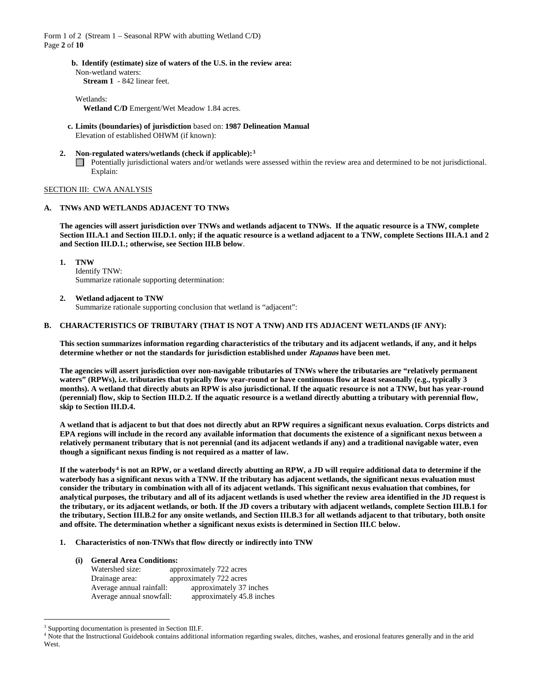Form 1 of 2 (Stream 1 – Seasonal RPW with abutting Wetland C/D) Page **2** of **10**

> **b. Identify (estimate) size of waters of the U.S. in the review area:** Non-wetland waters:

**Stream 1** - 842 linear feet.

Wetlands: **Wetland C/D** Emergent/Wet Meadow 1.84 acres.

- **c. Limits (boundaries) of jurisdiction** based on: **1987 Delineation Manual** Elevation of established OHWM (if known):
- **2. Non-regulated waters/wetlands (check if applicable):[3](#page-1-0)** Potentially jurisdictional waters and/or wetlands were assessed within the review area and determined to be not jurisdictional. Explain:

# SECTION III: CWA ANALYSIS

# **A. TNWs AND WETLANDS ADJACENT TO TNWs**

**The agencies will assert jurisdiction over TNWs and wetlands adjacent to TNWs. If the aquatic resource is a TNW, complete Section III.A.1 and Section III.D.1. only; if the aquatic resource is a wetland adjacent to a TNW, complete Sections III.A.1 and 2 and Section III.D.1.; otherwise, see Section III.B below**.

**1. TNW** 

Identify TNW: Summarize rationale supporting determination:

**2. Wetland adjacent to TNW** 

Summarize rationale supporting conclusion that wetland is "adjacent":

# **B. CHARACTERISTICS OF TRIBUTARY (THAT IS NOT A TNW) AND ITS ADJACENT WETLANDS (IF ANY):**

**This section summarizes information regarding characteristics of the tributary and its adjacent wetlands, if any, and it helps determine whether or not the standards for jurisdiction established under Rapanos have been met.** 

**The agencies will assert jurisdiction over non-navigable tributaries of TNWs where the tributaries are "relatively permanent waters" (RPWs), i.e. tributaries that typically flow year-round or have continuous flow at least seasonally (e.g., typically 3 months). A wetland that directly abuts an RPW is also jurisdictional. If the aquatic resource is not a TNW, but has year-round (perennial) flow, skip to Section III.D.2. If the aquatic resource is a wetland directly abutting a tributary with perennial flow, skip to Section III.D.4.**

**A wetland that is adjacent to but that does not directly abut an RPW requires a significant nexus evaluation. Corps districts and EPA regions will include in the record any available information that documents the existence of a significant nexus between a relatively permanent tributary that is not perennial (and its adjacent wetlands if any) and a traditional navigable water, even though a significant nexus finding is not required as a matter of law.**

**If the waterbody[4](#page-1-1) is not an RPW, or a wetland directly abutting an RPW, a JD will require additional data to determine if the waterbody has a significant nexus with a TNW. If the tributary has adjacent wetlands, the significant nexus evaluation must consider the tributary in combination with all of its adjacent wetlands. This significant nexus evaluation that combines, for analytical purposes, the tributary and all of its adjacent wetlands is used whether the review area identified in the JD request is the tributary, or its adjacent wetlands, or both. If the JD covers a tributary with adjacent wetlands, complete Section III.B.1 for the tributary, Section III.B.2 for any onsite wetlands, and Section III.B.3 for all wetlands adjacent to that tributary, both onsite and offsite. The determination whether a significant nexus exists is determined in Section III.C below.**

- **1. Characteristics of non-TNWs that flow directly or indirectly into TNW**
	- **(i) General Area Conditions:** Watershed size: approximately 722 acres Drainage area: approximately 722 acres Average annual rainfall: approximately 37 inches Average annual snowfall: approximately 45.8 inches

<span id="page-1-0"></span><sup>&</sup>lt;sup>3</sup> Supporting documentation is presented in Section III.F.

<span id="page-1-1"></span><sup>4</sup> Note that the Instructional Guidebook contains additional information regarding swales, ditches, washes, and erosional features generally and in the arid West.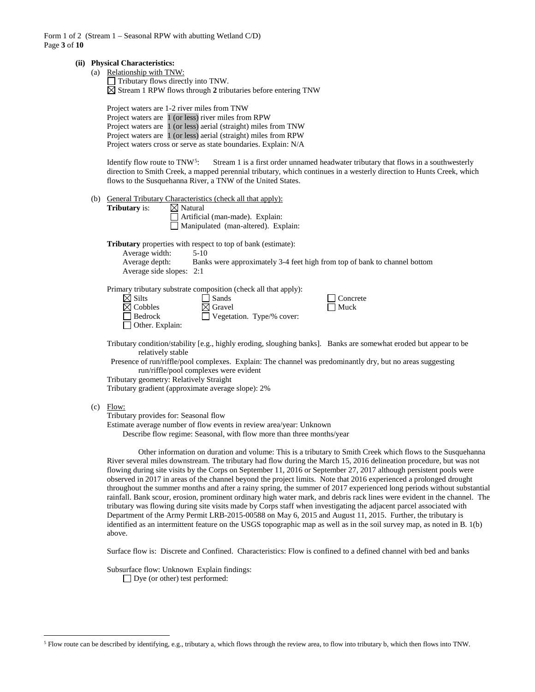Form 1 of 2 (Stream 1 – Seasonal RPW with abutting Wetland C/D) Page **3** of **10**

#### **(ii) Physical Characteristics:**

(a) Relationship with TNW:  $\Box$  Tributary flows directly into TNW.  $\boxtimes$  Stream 1 RPW flows through 2 tributaries before entering TNW

Project waters are 1-2 river miles from TNW Project waters are 1 (or less) river miles from RPW Project waters are 1 (or less) aerial (straight) miles from TNW Project waters are 1 (or less) aerial (straight) miles from RPW Project waters cross or serve as state boundaries. Explain: N/A

Identify flow route to TNW<sup>5</sup>: Stream 1 is a first order unnamed headwater tributary that flows in a southwesterly direction to Smith Creek, a mapped perennial tributary, which continues in a westerly direction to Hunts Creek, which flows to the Susquehanna River, a TNW of the United States.

- (b) General Tributary Characteristics (check all that apply):<br> **Tributary** is:  $\boxtimes$  Natural
	- **Tributary** is: Artificial (man-made). Explain:

Manipulated (man-altered). Explain:

**Tributary** properties with respect to top of bank (estimate):

| Average width:     | $5-10$                           |
|--------------------|----------------------------------|
| $A_{varana}$ danth | Banke ware approximately $3.4.6$ |

Average depth: Banks were approximately 3-4 feet high from top of bank to channel bottom Average side slopes: 2:1

Primary tributary substrate composition (check all that apply):

| $\boxtimes$ Silts      | $\Box$ Sands                     |
|------------------------|----------------------------------|
| $\boxtimes$ Cobbles    | $\boxtimes$ Gravel               |
| $\Box$ Bedrock         | $\Box$ Vegetation. Type/% cover: |
| $\Box$ Other. Explain: |                                  |

Tributary condition/stability [e.g., highly eroding, sloughing banks]. Banks are somewhat eroded but appear to be relatively stable

 $\Box$  Concrete  $\Box$  Muck

Presence of run/riffle/pool complexes. Explain: The channel was predominantly dry, but no areas suggesting run/riffle/pool complexes were evident

Tributary geometry: Relatively Straight

Tributary gradient (approximate average slope): 2%

 $(c)$  Flow:

Tributary provides for: Seasonal flow

Estimate average number of flow events in review area/year: Unknown

Describe flow regime: Seasonal, with flow more than three months/year

Other information on duration and volume: This is a tributary to Smith Creek which flows to the Susquehanna River several miles downstream. The tributary had flow during the March 15, 2016 delineation procedure, but was not flowing during site visits by the Corps on September 11, 2016 or September 27, 2017 although persistent pools were observed in 2017 in areas of the channel beyond the project limits. Note that 2016 experienced a prolonged drought throughout the summer months and after a rainy spring, the summer of 2017 experienced long periods without substantial rainfall. Bank scour, erosion, prominent ordinary high water mark, and debris rack lines were evident in the channel. The tributary was flowing during site visits made by Corps staff when investigating the adjacent parcel associated with Department of the Army Permit LRB-2015-00588 on May 6, 2015 and August 11, 2015. Further, the tributary is identified as an intermittent feature on the USGS topographic map as well as in the soil survey map, as noted in B. 1(b) above.

Surface flow is: Discrete and Confined. Characteristics: Flow is confined to a defined channel with bed and banks

Subsurface flow: Unknown Explain findings:

Dye (or other) test performed:

<span id="page-2-0"></span> <sup>5</sup> Flow route can be described by identifying, e.g., tributary a, which flows through the review area, to flow into tributary b, which then flows into TNW.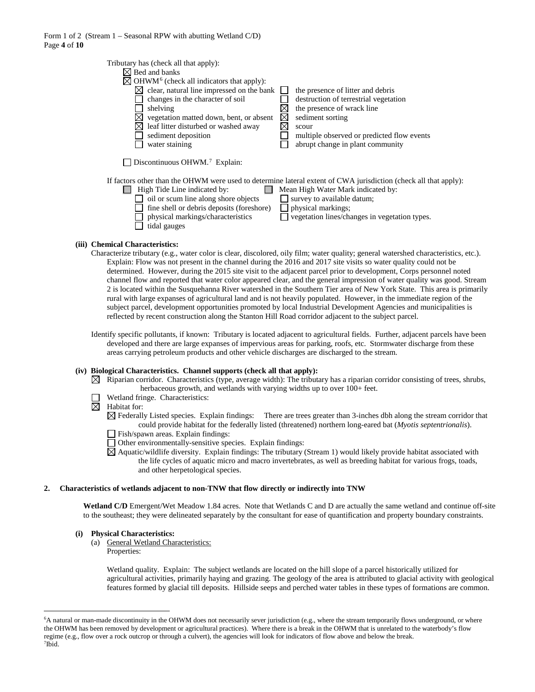| Tributary has (check all that apply):<br>$\boxtimes$ Bed and banks<br>$\boxtimes$ OHWM <sup>6</sup> (check all indicators that apply):<br>clear, natural line impressed on the bank<br>⊠<br>changes in the character of soil<br>shelving<br>vegetation matted down, bent, or absent<br>leaf litter disturbed or washed away<br>sediment deposition | the presence of litter and debris<br>destruction of terrestrial vegetation<br>the presence of wrack line<br>$\boxtimes$<br>sediment sorting<br>scour<br>multiple observed or predicted flow events |
|----------------------------------------------------------------------------------------------------------------------------------------------------------------------------------------------------------------------------------------------------------------------------------------------------------------------------------------------------|----------------------------------------------------------------------------------------------------------------------------------------------------------------------------------------------------|
| water staining                                                                                                                                                                                                                                                                                                                                     | abrupt change in plant community                                                                                                                                                                   |
| Discontinuous OHWM. <sup>7</sup> Explain:                                                                                                                                                                                                                                                                                                          | If factors other than the OHWM were used to determine lateral extent of CWA jurisdiction (check all that apply):                                                                                   |
| High Tide Line indicated by:                                                                                                                                                                                                                                                                                                                       | Mean High Water Mark indicated by:                                                                                                                                                                 |
| oil or scum line along shore objects                                                                                                                                                                                                                                                                                                               | survey to available datum;                                                                                                                                                                         |
| fine shell or debris deposits (foreshore)                                                                                                                                                                                                                                                                                                          | physical markings;                                                                                                                                                                                 |
| physical markings/characteristics                                                                                                                                                                                                                                                                                                                  | vegetation lines/changes in vegetation types.                                                                                                                                                      |
| tidal gauges                                                                                                                                                                                                                                                                                                                                       |                                                                                                                                                                                                    |

#### **(iii) Chemical Characteristics:**

- Characterize tributary (e.g., water color is clear, discolored, oily film; water quality; general watershed characteristics, etc.). Explain: Flow was not present in the channel during the 2016 and 2017 site visits so water quality could not be determined. However, during the 2015 site visit to the adjacent parcel prior to development, Corps personnel noted channel flow and reported that water color appeared clear, and the general impression of water quality was good. Stream 2 is located within the Susquehanna River watershed in the Southern Tier area of New York State. This area is primarily rural with large expanses of agricultural land and is not heavily populated. However, in the immediate region of the subject parcel, development opportunities promoted by local Industrial Development Agencies and municipalities is reflected by recent construction along the Stanton Hill Road corridor adjacent to the subject parcel.
- Identify specific pollutants, if known: Tributary is located adjacent to agricultural fields. Further, adjacent parcels have been developed and there are large expanses of impervious areas for parking, roofs, etc. Stormwater discharge from these areas carrying petroleum products and other vehicle discharges are discharged to the stream.

#### **(iv) Biological Characteristics. Channel supports (check all that apply):**

- $\boxtimes$  Riparian corridor. Characteristics (type, average width): The tributary has a riparian corridor consisting of trees, shrubs, herbaceous growth, and wetlands with varying widths up to over 100+ feet.
	- Wetland fringe. Characteristics:
- ⊠ Habitat for:
	- $\boxtimes$  Federally Listed species. Explain findings: There are trees greater than 3-inches dbh along the stream corridor that could provide habitat for the federally listed (threatened) northern long-eared bat (*Myotis septentrionalis*).
	- Fish/spawn areas. Explain findings:
	- Other environmentally-sensitive species. Explain findings:
	- $\boxtimes$  Aquatic/wildlife diversity. Explain findings: The tributary (Stream 1) would likely provide habitat associated with the life cycles of aquatic micro and macro invertebrates, as well as breeding habitat for various frogs, toads, and other herpetological species.

#### **2. Characteristics of wetlands adjacent to non-TNW that flow directly or indirectly into TNW**

Wetland C/D Emergent/Wet Meadow 1.84 acres. Note that Wetlands C and D are actually the same wetland and continue off-site to the southeast; they were delineated separately by the consultant for ease of quantification and property boundary constraints.

# **(i) Physical Characteristics:**

- (a) General Wetland Characteristics:
	- Properties:

Wetland quality. Explain: The subject wetlands are located on the hill slope of a parcel historically utilized for agricultural activities, primarily haying and grazing. The geology of the area is attributed to glacial activity with geological features formed by glacial till deposits. Hillside seeps and perched water tables in these types of formations are common.

<span id="page-3-1"></span><span id="page-3-0"></span> <sup>6</sup> <sup>6</sup>A natural or man-made discontinuity in the OHWM does not necessarily sever jurisdiction (e.g., where the stream temporarily flows underground, or where the OHWM has been removed by development or agricultural practices). Where there is a break in the OHWM that is unrelated to the waterbody's flow regime (e.g., flow over a rock outcrop or through a culvert), the agencies will look for indicators of flow above and below the break. 7 Ibid.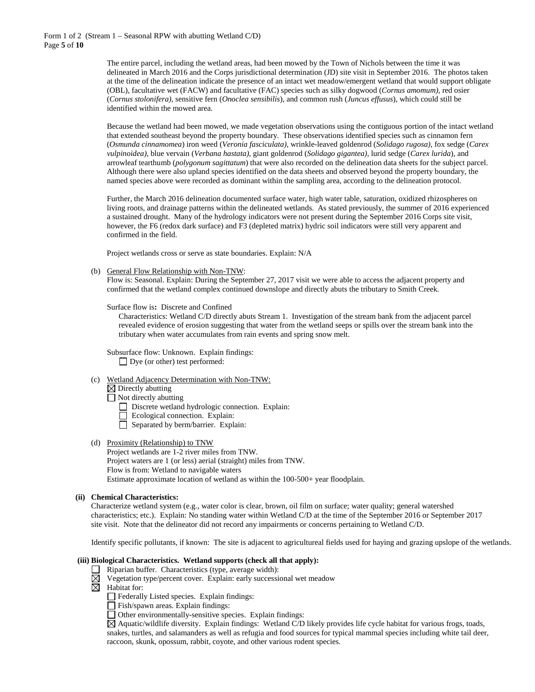The entire parcel, including the wetland areas, had been mowed by the Town of Nichols between the time it was delineated in March 2016 and the Corps jurisdictional determination (JD) site visit in September 2016. The photos taken at the time of the delineation indicate the presence of an intact wet meadow/emergent wetland that would support obligate (OBL), facultative wet (FACW) and facultative (FAC) species such as silky dogwood (*Cornus amomum),* red osier (*Cornus stolonifera),* sensitive fern (*Onoclea sensibilis*), and common rush (*Juncus effusus*), which could still be identified within the mowed area.

Because the wetland had been mowed, we made vegetation observations using the contiguous portion of the intact wetland that extended southeast beyond the property boundary. These observations identified species such as cinnamon fern (*Osmunda cinnamomea*) iron weed (*Veronia fasciculata)*, wrinkle-leaved goldenrod (*Solidago rugosa)*, fox sedge (*Carex vulpinoidea)*, blue vervain (*Verbana hastata)*, giant goldenrod (*Solidago gigantea)*, lurid sedge (*Carex lurida*), and arrowleaf tearthumb (*polygonum sagittatum*) that were also recorded on the delineation data sheets for the subject parcel. Although there were also upland species identified on the data sheets and observed beyond the property boundary, the named species above were recorded as dominant within the sampling area, according to the delineation protocol.

Further, the March 2016 delineation documented surface water, high water table, saturation, oxidized rhizospheres on living roots, and drainage patterns within the delineated wetlands. As stated previously, the summer of 2016 experienced a sustained drought. Many of the hydrology indicators were not present during the September 2016 Corps site visit, however, the F6 (redox dark surface) and F3 (depleted matrix) hydric soil indicators were still very apparent and confirmed in the field.

Project wetlands cross or serve as state boundaries. Explain: N/A

(b) General Flow Relationship with Non-TNW:

Flow is: Seasonal. Explain: During the September 27, 2017 visit we were able to access the adjacent property and confirmed that the wetland complex continued downslope and directly abuts the tributary to Smith Creek.

Surface flow is**:** Discrete and Confined

Characteristics: Wetland C/D directly abuts Stream 1. Investigation of the stream bank from the adjacent parcel revealed evidence of erosion suggesting that water from the wetland seeps or spills over the stream bank into the tributary when water accumulates from rain events and spring snow melt.

Subsurface flow: Unknown. Explain findings: Dye (or other) test performed:

(c) Wetland Adjacency Determination with Non-TNW:

 $\boxtimes$  Directly abutting

- Not directly abutting
	- Discrete wetland hydrologic connection. Explain:
	- Ecological connection. Explain:
	- $\Box$  Separated by berm/barrier. Explain:

#### (d) Proximity (Relationship) to TNW

Project wetlands are 1-2 river miles from TNW. Project waters are 1 (or less) aerial (straight) miles from TNW. Flow is from: Wetland to navigable waters Estimate approximate location of wetland as within the 100-500+ year floodplain.

#### **(ii) Chemical Characteristics:**

Characterize wetland system (e.g., water color is clear, brown, oil film on surface; water quality; general watershed characteristics; etc.). Explain: No standing water within Wetland C/D at the time of the September 2016 or September 2017 site visit. Note that the delineator did not record any impairments or concerns pertaining to Wetland C/D.

Identify specific pollutants, if known: The site is adjacent to agricultureal fields used for haying and grazing upslope of the wetlands.

## **(iii) Biological Characteristics. Wetland supports (check all that apply):**

- $\Box$  Riparian buffer. Characteristics (type, average width):
	- Vegetation type/percent cover. Explain: early successional wet meadow
- ⊠ Habitat for:
	- Federally Listed species. Explain findings:
	- Fish/spawn areas. Explain findings:
	- Other environmentally-sensitive species. Explain findings:

Aquatic/wildlife diversity. Explain findings: Wetland C/D likely provides life cycle habitat for various frogs, toads, snakes, turtles, and salamanders as well as refugia and food sources for typical mammal species including white tail deer, raccoon, skunk, opossum, rabbit, coyote, and other various rodent species.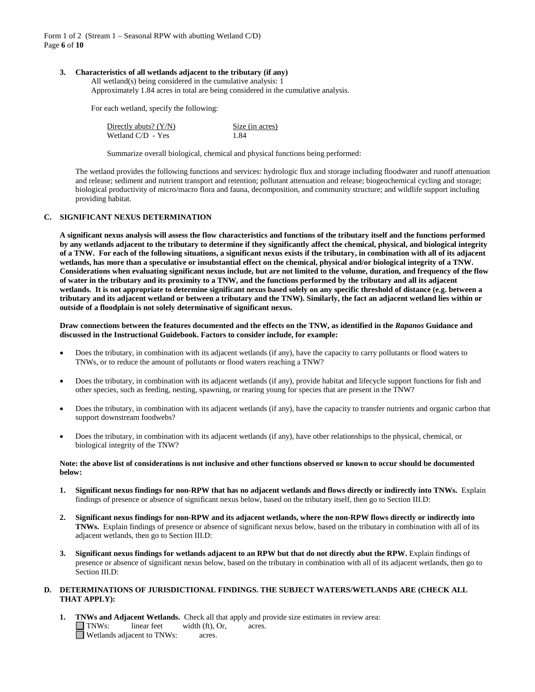Form 1 of 2 (Stream 1 – Seasonal RPW with abutting Wetland C/D) Page **6** of **10**

### **3. Characteristics of all wetlands adjacent to the tributary (if any)**

All wetland(s) being considered in the cumulative analysis: 1 Approximately 1.84 acres in total are being considered in the cumulative analysis.

For each wetland, specify the following:

| Directly abuts? $(Y/N)$ | Size (in acres) |
|-------------------------|-----------------|
| Wetland $C/D - Yes$     | 1.84            |

Summarize overall biological, chemical and physical functions being performed:

The wetland provides the following functions and services: hydrologic flux and storage including floodwater and runoff attenuation and release; sediment and nutrient transport and retention; pollutant attenuation and release; biogeochemical cycling and storage; biological productivity of micro/macro flora and fauna, decomposition, and community structure; and wildlife support including providing habitat.

# **C. SIGNIFICANT NEXUS DETERMINATION**

**A significant nexus analysis will assess the flow characteristics and functions of the tributary itself and the functions performed by any wetlands adjacent to the tributary to determine if they significantly affect the chemical, physical, and biological integrity of a TNW. For each of the following situations, a significant nexus exists if the tributary, in combination with all of its adjacent wetlands, has more than a speculative or insubstantial effect on the chemical, physical and/or biological integrity of a TNW. Considerations when evaluating significant nexus include, but are not limited to the volume, duration, and frequency of the flow of water in the tributary and its proximity to a TNW, and the functions performed by the tributary and all its adjacent wetlands. It is not appropriate to determine significant nexus based solely on any specific threshold of distance (e.g. between a tributary and its adjacent wetland or between a tributary and the TNW). Similarly, the fact an adjacent wetland lies within or outside of a floodplain is not solely determinative of significant nexus.** 

**Draw connections between the features documented and the effects on the TNW, as identified in the** *Rapanos* **Guidance and discussed in the Instructional Guidebook. Factors to consider include, for example:**

- Does the tributary, in combination with its adjacent wetlands (if any), have the capacity to carry pollutants or flood waters to TNWs, or to reduce the amount of pollutants or flood waters reaching a TNW?
- Does the tributary, in combination with its adjacent wetlands (if any), provide habitat and lifecycle support functions for fish and other species, such as feeding, nesting, spawning, or rearing young for species that are present in the TNW?
- Does the tributary, in combination with its adjacent wetlands (if any), have the capacity to transfer nutrients and organic carbon that support downstream foodwebs?
- Does the tributary, in combination with its adjacent wetlands (if any), have other relationships to the physical, chemical, or biological integrity of the TNW?

#### **Note: the above list of considerations is not inclusive and other functions observed or known to occur should be documented below:**

- **1. Significant nexus findings for non-RPW that has no adjacent wetlands and flows directly or indirectly into TNWs.** Explain findings of presence or absence of significant nexus below, based on the tributary itself, then go to Section III.D:
- **2. Significant nexus findings for non-RPW and its adjacent wetlands, where the non-RPW flows directly or indirectly into TNWs.** Explain findings of presence or absence of significant nexus below, based on the tributary in combination with all of its adjacent wetlands, then go to Section III.D:
- **3. Significant nexus findings for wetlands adjacent to an RPW but that do not directly abut the RPW.** Explain findings of presence or absence of significant nexus below, based on the tributary in combination with all of its adjacent wetlands, then go to Section III.D:

## **D. DETERMINATIONS OF JURISDICTIONAL FINDINGS. THE SUBJECT WATERS/WETLANDS ARE (CHECK ALL THAT APPLY):**

**1. TNWs and Adjacent Wetlands.** Check all that apply and provide size estimates in review area:<br>
TNWs: linear feet width (ft), Or, acres.  $I$  linear feet width (ft), Or, acres. Wetlands adjacent to TNWs: acres.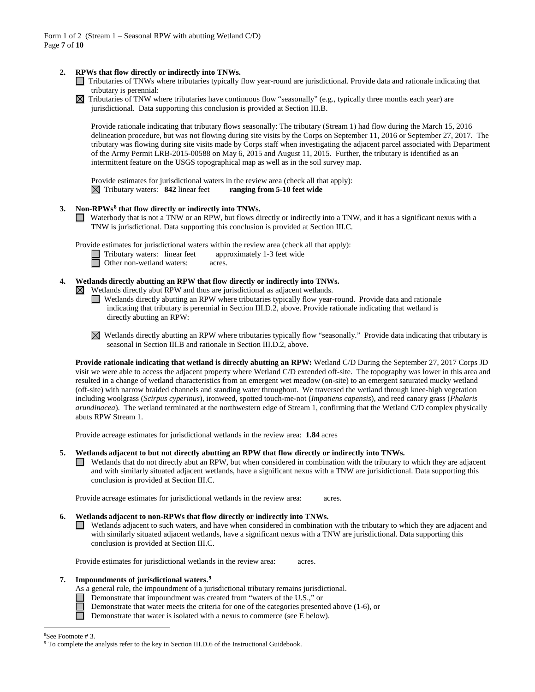# **2. RPWs that flow directly or indirectly into TNWs.**

- Tributaries of TNWs where tributaries typically flow year-round are jurisdictional. Provide data and rationale indicating that tributary is perennial:
- $\boxtimes$  Tributaries of TNW where tributaries have continuous flow "seasonally" (e.g., typically three months each year) are jurisdictional. Data supporting this conclusion is provided at Section III.B.

Provide rationale indicating that tributary flows seasonally: The tributary (Stream 1) had flow during the March 15, 2016 delineation procedure, but was not flowing during site visits by the Corps on September 11, 2016 or September 27, 2017. The tributary was flowing during site visits made by Corps staff when investigating the adjacent parcel associated with Department of the Army Permit LRB-2015-00588 on May 6, 2015 and August 11, 2015. Further, the tributary is identified as an intermittent feature on the USGS topographical map as well as in the soil survey map.

Provide estimates for jurisdictional waters in the review area (check all that apply):  $\boxtimes$  Tributary waters: **842** linear feet **ranging from 5-10 feet wide** 

# **3. Non-RPWs[8](#page-6-0) that flow directly or indirectly into TNWs.**

Waterbody that is not a TNW or an RPW, but flows directly or indirectly into a TNW, and it has a significant nexus with a TNW is jurisdictional. Data supporting this conclusion is provided at Section III.C.

Provide estimates for jurisdictional waters within the review area (check all that apply):

- Tributary waters: linear feet approximately 1-3 feet wide<br>
Other non-wetland waters: acres.
- Other non-wetland waters: acres.

# **4. Wetlands directly abutting an RPW that flow directly or indirectly into TNWs.**

 $\boxtimes$  Wetlands directly abut RPW and thus are jurisdictional as adjacent wetlands.

- Wetlands directly abutting an RPW where tributaries typically flow year-round. Provide data and rationale indicating that tributary is perennial in Section III.D.2, above. Provide rationale indicating that wetland is directly abutting an RPW:
- Wetlands directly abutting an RPW where tributaries typically flow "seasonally." Provide data indicating that tributary is seasonal in Section III.B and rationale in Section III.D.2, above.

**Provide rationale indicating that wetland is directly abutting an RPW:** Wetland C/D During the September 27, 2017 Corps JD visit we were able to access the adjacent property where Wetland C/D extended off-site. The topography was lower in this area and resulted in a change of wetland characteristics from an emergent wet meadow (on-site) to an emergent saturated mucky wetland (off-site) with narrow braided channels and standing water throughout. We traversed the wetland through knee-high vegetation including woolgrass (*Scirpus cyperinus*), ironweed, spotted touch-me-not (*Impatiens capensis*), and reed canary grass (*Phalaris arundinacea*). The wetland terminated at the northwestern edge of Stream 1, confirming that the Wetland C/D complex physically abuts RPW Stream 1.

Provide acreage estimates for jurisdictional wetlands in the review area: **1.84** acres

## **5. Wetlands adjacent to but not directly abutting an RPW that flow directly or indirectly into TNWs.**

Wetlands that do not directly abut an RPW, but when considered in combination with the tributary to which they are adjacent and with similarly situated adjacent wetlands, have a significant nexus with a TNW are jurisidictional. Data supporting this conclusion is provided at Section III.C.

Provide acreage estimates for jurisdictional wetlands in the review area: acres.

#### **6. Wetlands adjacent to non-RPWs that flow directly or indirectly into TNWs.**

 $\Box$ Wetlands adjacent to such waters, and have when considered in combination with the tributary to which they are adjacent and with similarly situated adjacent wetlands, have a significant nexus with a TNW are jurisdictional. Data supporting this conclusion is provided at Section III.C.

Provide estimates for jurisdictional wetlands in the review area: acres.

# **7. Impoundments of jurisdictional waters. [9](#page-6-1)**

- As a general rule, the impoundment of a jurisdictional tributary remains jurisdictional.
- Demonstrate that impoundment was created from "waters of the U.S.," or
	- Demonstrate that water meets the criteria for one of the categories presented above (1-6), or
- $\Box$ Demonstrate that water is isolated with a nexus to commerce (see E below).

# 8

<span id="page-6-1"></span><span id="page-6-0"></span><sup>&</sup>lt;sup>8</sup>See Footnote # 3.<br><sup>9</sup> To complete the analysis refer to the key in Section III.D.6 of the Instructional Guidebook.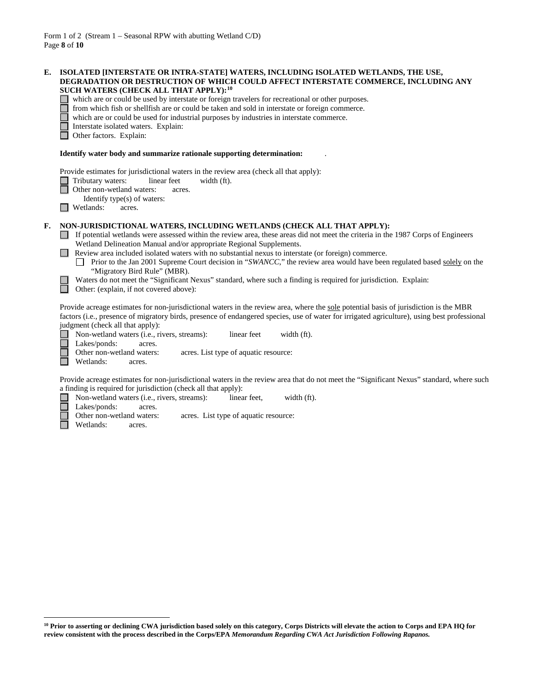| Е. | ISOLATED [INTERSTATE OR INTRA-STATE] WATERS, INCLUDING ISOLATED WETLANDS, THE USE,<br>DEGRADATION OR DESTRUCTION OF WHICH COULD AFFECT INTERSTATE COMMERCE, INCLUDING ANY<br>SUCH WATERS (CHECK ALL THAT APPLY): <sup>10</sup><br>which are or could be used by interstate or foreign travelers for recreational or other purposes.<br>from which fish or shellfish are or could be taken and sold in interstate or foreign commerce.<br>which are or could be used for industrial purposes by industries in interstate commerce.<br>Interstate isolated waters. Explain:<br>Other factors. Explain:                                                                                                              |  |  |
|----|-------------------------------------------------------------------------------------------------------------------------------------------------------------------------------------------------------------------------------------------------------------------------------------------------------------------------------------------------------------------------------------------------------------------------------------------------------------------------------------------------------------------------------------------------------------------------------------------------------------------------------------------------------------------------------------------------------------------|--|--|
|    | Identify water body and summarize rationale supporting determination:                                                                                                                                                                                                                                                                                                                                                                                                                                                                                                                                                                                                                                             |  |  |
|    | Provide estimates for jurisdictional waters in the review area (check all that apply):<br>Tributary waters:<br>linear feet<br>width (ft).<br>Other non-wetland waters:<br>acres.<br>Identify type(s) of waters:<br>Wetlands:<br>acres.                                                                                                                                                                                                                                                                                                                                                                                                                                                                            |  |  |
| F. | NON-JURISDICTIONAL WATERS, INCLUDING WETLANDS (CHECK ALL THAT APPLY):<br>If potential wetlands were assessed within the review area, these areas did not meet the criteria in the 1987 Corps of Engineers<br>Wetland Delineation Manual and/or appropriate Regional Supplements.<br>Review area included isolated waters with no substantial nexus to interstate (or foreign) commerce.<br>Prior to the Jan 2001 Supreme Court decision in "SWANCC," the review area would have been regulated based solely on the<br>"Migratory Bird Rule" (MBR).<br>Waters do not meet the "Significant Nexus" standard, where such a finding is required for jurisdiction. Explain:<br>Other: (explain, if not covered above): |  |  |
|    | Provide acreage estimates for non-jurisdictional waters in the review area, where the sole potential basis of jurisdiction is the MBR<br>factors (i.e., presence of migratory birds, presence of endangered species, use of water for irrigated agriculture), using best professional<br>judgment (check all that apply):<br>width (ft).<br>Non-wetland waters (i.e., rivers, streams):<br>linear feet<br>Lakes/ponds:<br>acres.<br>Other non-wetland waters:<br>acres. List type of aquatic resource:<br>Wetlands:<br>acres.                                                                                                                                                                                     |  |  |
|    | Provide acreage estimates for non-jurisdictional waters in the review area that do not meet the "Significant Nexus" standard, where such<br>a finding is required for jurisdiction (check all that apply):<br>Non-wetland waters (i.e., rivers, streams):<br>linear feet,<br>width (ft).<br>Lakes/ponds:<br>acres.<br>Other non-wetland waters:<br>acres. List type of aquatic resource:                                                                                                                                                                                                                                                                                                                          |  |  |

Lakes/ponds: acres.<br>Other non-wetland waters: nd waters: acres. List type of aquatic resource: acres.

Wetlands:

П

 $\overline{a}$ 

<span id="page-7-0"></span><sup>&</sup>lt;sup>10</sup> Prior to asserting or declining CWA jurisdiction based solely on this category, Corps Districts will elevate the action to Corps and EPA HQ for **review consistent with the process described in the Corps/EPA** *Memorandum Regarding CWA Act Jurisdiction Following Rapanos.*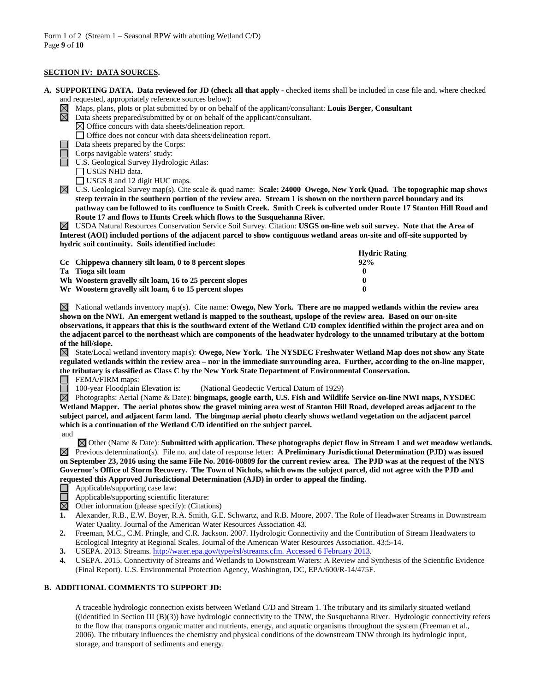# **SECTION IV: DATA SOURCES.**

- **A. SUPPORTING DATA. Data reviewed for JD (check all that apply -** checked items shall be included in case file and, where checked
	- and requested, appropriately reference sources below):
	- Maps, plans, plots or plat submitted by or on behalf of the applicant/consultant: **Louis Berger, Consultant**
	- $\boxtimes$  Data sheets prepared/submitted by or on behalf of the applicant/consultant.
		- $\boxtimes$  Office concurs with data sheets/delineation report.
		- Office does not concur with data sheets/delineation report.
		- Data sheets prepared by the Corps:
	- Corps navigable waters' study:
	- U.S. Geological Survey Hydrologic Atlas:
		- USGS NHD data.
		- USGS 8 and 12 digit HUC maps.

U.S. Geological Survey map(s). Cite scale & quad name: **Scale: 24000 Owego, New York Quad. The topographic map shows steep terrain in the southern portion of the review area. Stream 1 is shown on the northern parcel boundary and its pathway can be followed to its confluence to Smith Creek. Smith Creek is culverted under Route 17 Stanton Hill Road and Route 17 and flows to Hunts Creek which flows to the Susquehanna River.**

USDA Natural Resources Conservation Service Soil Survey. Citation: **USGS on-line web soil survey. Note that the Area of Interest (AOI) included portions of the adjacent parcel to show contiguous wetland areas on-site and off-site supported by hydric soil continuity. Soils identified include:**

|                                                         | <b>Hydric Rating</b> |
|---------------------------------------------------------|----------------------|
| Cc Chippewa channery silt loam, 0 to 8 percent slopes   | $92\%$               |
| Ta Tioga silt loam                                      |                      |
| Wh Woostern gravelly silt loam, 16 to 25 percent slopes |                      |
| Wr Woostern gravelly silt loam, 6 to 15 percent slopes  | $\mathbf{a}$         |

 $\boxtimes$  National wetlands inventory map(s). Cite name: **Owego, New York. There are no mapped wetlands within the review area shown on the NWI. An emergent wetland is mapped to the southeast, upslope of the review area. Based on our on-site observations, it appears that this is the southward extent of the Wetland C/D complex identified within the project area and on the adjacent parcel to the northeast which are components of the headwater hydrology to the unnamed tributary at the bottom of the hill/slope.**

 $\boxtimes$  State/Local wetland inventory map(s): **Owego, New York. The NYSDEC Freshwater Wetland Map does not show any State regulated wetlands within the review area – nor in the immediate surrounding area. Further, according to the on-line mapper, the tributary is classified as Class C by the New York State Department of Environmental Conservation.**

**FEMA/FIRM** maps:

100-year Floodplain Elevation is: (National Geodectic Vertical Datum of 1929)

Photographs: Aerial (Name & Date): **bingmaps, google earth, U.S. Fish and Wildlife Service on-line NWI maps, NYSDEC Wetland Mapper. The aerial photos show the gravel mining area west of Stanton Hill Road, developed areas adjacent to the subject parcel, and adjacent farm land. The bingmap aerial photo clearly shows wetland vegetation on the adjacent parcel which is a continuation of the Wetland C/D identified on the subject parcel.** and

Other (Name & Date): **Submitted with application. These photographs depict flow in Stream 1 and wet meadow wetlands.** Previous determination(s). File no. and date of response letter: **A Preliminary Jurisdictional Determination (PJD) was issued on September 23, 2016 using the same File No. 2016-00809 for the current review area. The PJD was at the request of the NYS Governor's Office of Storm Recovery. The Town of Nichols, which owns the subject parcel, did not agree with the PJD and requested this Approved Jurisdictional Determination (AJD) in order to appeal the finding.**

- Applicable/supporting case law:
- Applicable/supporting scientific literature:
- $\overline{\boxtimes}$ Other information (please specify): (Citations)
- **1.** Alexander, R.B., E.W. Boyer, R.A. Smith, G.E. Schwartz, and R.B. Moore, 2007. The Role of Headwater Streams in Downstream Water Quality. Journal of the American Water Resources Association 43.
- **2.** Freeman, M.C., C.M. Pringle, and C.R. Jackson. 2007. Hydrologic Connectivity and the Contribution of Stream Headwaters to Ecological Integrity at Regional Scales. Journal of the American Water Resources Association. 43:5-14.
- **3.** USEPA. 2013. Streams[. http://water.epa.gov/type/rsl/streams.cfm. Accessed 6 February 2013.](http://water.epa.gov/type/rsl/streams.cfm.%20Accessed%206%20February%202013)
- **4.** USEPA. 2015. Connectivity of Streams and Wetlands to Downstream Waters: A Review and Synthesis of the Scientific Evidence (Final Report). U.S. Environmental Protection Agency, Washington, DC, EPA/600/R-14/475F.

# **B. ADDITIONAL COMMENTS TO SUPPORT JD:**

A traceable hydrologic connection exists between Wetland C/D and Stream 1. The tributary and its similarly situated wetland ((identified in Section III (B)(3)) have hydrologic connectivity to the TNW, the Susquehanna River. Hydrologic connectivity refers to the flow that transports organic matter and nutrients, energy, and aquatic organisms throughout the system (Freeman et al., 2006). The tributary influences the chemistry and physical conditions of the downstream TNW through its hydrologic input, storage, and transport of sediments and energy.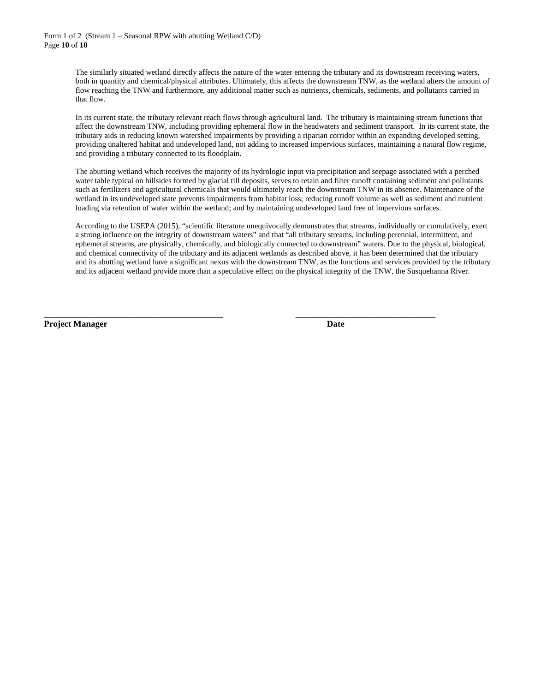# Form 1 of 2 (Stream 1 – Seasonal RPW with abutting Wetland C/D) Page **10** of **10**

The similarly situated wetland directly affects the nature of the water entering the tributary and its downstream receiving waters, both in quantity and chemical/physical attributes. Ultimately, this affects the downstream TNW, as the wetland alters the amount of flow reaching the TNW and furthermore, any additional matter such as nutrients, chemicals, sediments, and pollutants carried in that flow.

In its current state, the tributary relevant reach flows through agricultural land. The tributary is maintaining stream functions that affect the downstream TNW, including providing ephemeral flow in the headwaters and sediment transport. In its current state, the tributary aids in reducing known watershed impairments by providing a riparian corridor within an expanding developed setting, providing unaltered habitat and undeveloped land, not adding to increased impervious surfaces, maintaining a natural flow regime, and providing a tributary connected to its floodplain.

The abutting wetland which receives the majority of its hydrologic input via precipitation and seepage associated with a perched water table typical on hillsides formed by glacial till deposits, serves to retain and filter runoff containing sediment and pollutants such as fertilizers and agricultural chemicals that would ultimately reach the downstream TNW in its absence. Maintenance of the wetland in its undeveloped state prevents impairments from habitat loss; reducing runoff volume as well as sediment and nutrient loading via retention of water within the wetland; and by maintaining undeveloped land free of impervious surfaces.

According to the USEPA (2015), "scientific literature unequivocally demonstrates that streams, individually or cumulatively, exert a strong influence on the integrity of downstream waters" and that "all tributary streams, including perennial, intermittent, and ephemeral streams, are physically, chemically, and biologically connected to downstream" waters. Due to the physical, biological, and chemical connectivity of the tributary and its adjacent wetlands as described above, it has been determined that the tributary and its abutting wetland have a significant nexus with the downstream TNW, as the functions and services provided by the tributary and its adjacent wetland provide more than a speculative effect on the physical integrity of the TNW, the Susquehanna River.

**\_\_\_\_\_\_\_\_\_\_\_\_\_\_\_\_\_\_\_\_\_\_\_\_\_\_\_\_\_\_\_\_\_\_\_\_\_\_\_\_\_ \_\_\_\_\_\_\_\_\_\_\_\_\_\_\_\_\_\_\_\_\_\_\_\_\_\_\_\_\_\_\_\_**

**Project Manager Date**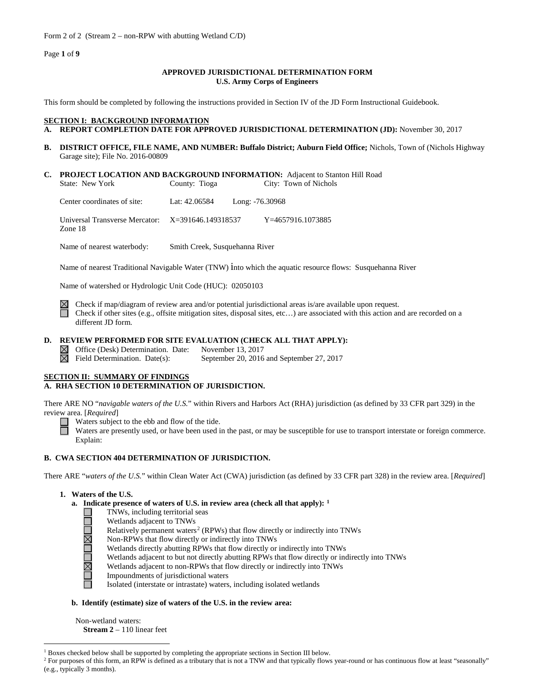Form 2 of 2 (Stream 2 – non-RPW with abutting Wetland C/D)

Page **1** of **9**

# **APPROVED JURISDICTIONAL DETERMINATION FORM U.S. Army Corps of Engineers**

This form should be completed by following the instructions provided in Section IV of the JD Form Instructional Guidebook.

# **SECTION I: BACKGROUND INFORMATION**

- **A. REPORT COMPLETION DATE FOR APPROVED JURISDICTIONAL DETERMINATION (JD):** November 30, 2017
- **B. DISTRICT OFFICE, FILE NAME, AND NUMBER: Buffalo District; Auburn Field Office;** Nichols, Town of (Nichols Highway Garage site); File No. 2016-00809
- **C. PROJECT LOCATION AND BACKGROUND INFORMATION:** Adjacent to Stanton Hill Road<br>State: New York County: Tioga City: Town of Nichols County: Tioga City: Town of Nichols

Center coordinates of site: Lat: 42.06584 Long: -76.30968

Universal Transverse Mercator: X=391646.149318537 Y=4657916.1073885 Zone 18

Name of nearest waterbody: Smith Creek, Susquehanna River

Name of nearest Traditional Navigable Water (TNW) into which the aquatic resource flows: Susquehanna River

Name of watershed or Hydrologic Unit Code (HUC): 02050103

 $\boxtimes$ 

Check if map/diagram of review area and/or potential jurisdictional areas is/are available upon request. Check if other sites (e.g., offsite mitigation sites, disposal sites, etc…) are associated with this action and are recorded on a different JD form.

# **D. REVIEW PERFORMED FOR SITE EVALUATION (CHECK ALL THAT APPLY):**

Office (Desk) Determination. Date: November 13, 2017<br>Field Determination. Date(s): September 20, 2016 September 20, 2016 and September 27, 2017  $\boxtimes$ 

# **SECTION II: SUMMARY OF FINDINGS**

# **A. RHA SECTION 10 DETERMINATION OF JURISDICTION.**

There ARE NO "*navigable waters of the U.S.*" within Rivers and Harbors Act (RHA) jurisdiction (as defined by 33 CFR part 329) in the review area. [*Required*]

Waters subject to the ebb and flow of the tide.

Waters are presently used, or have been used in the past, or may be susceptible for use to transport interstate or foreign commerce. Explain:

# **B. CWA SECTION 404 DETERMINATION OF JURISDICTION.**

There ARE "*waters of the U.S.*" within Clean Water Act (CWA) jurisdiction (as defined by 33 CFR part 328) in the review area. [*Required*]

# **1. Waters of the U.S.**

- **a. Indicate presence of waters of U.S. in review area (check all that apply): [1](#page-10-0)**
	- TNWs, including territorial seas
	- Wetlands adjacent to TNWs
	- Relatively permanent waters<sup>[2](#page-10-1)</sup> (RPWs) that flow directly or indirectly into TNWs
	- Non-RPWs that flow directly or indirectly into TNWs
	- Wetlands directly abutting RPWs that flow directly or indirectly into TNWs
	- Wetlands adjacent to but not directly abutting RPWs that flow directly or indirectly into TNWs
	- Wetlands adjacent to non-RPWs that flow directly or indirectly into TNWs
	- <u> JNA JNA JR</u> Impoundments of jurisdictional waters
		- Isolated (interstate or intrastate) waters, including isolated wetlands

# **b. Identify (estimate) size of waters of the U.S. in the review area:**

Non-wetland waters: **Stream 2** – 110 linear feet

<span id="page-10-0"></span><sup>&</sup>lt;sup>1</sup> Boxes checked below shall be supported by completing the appropriate sections in Section III below.

<span id="page-10-1"></span><sup>&</sup>lt;sup>2</sup> For purposes of this form, an RPW is defined as a tributary that is not a TNW and that typically flows year-round or has continuous flow at least "seasonally" (e.g., typically 3 months).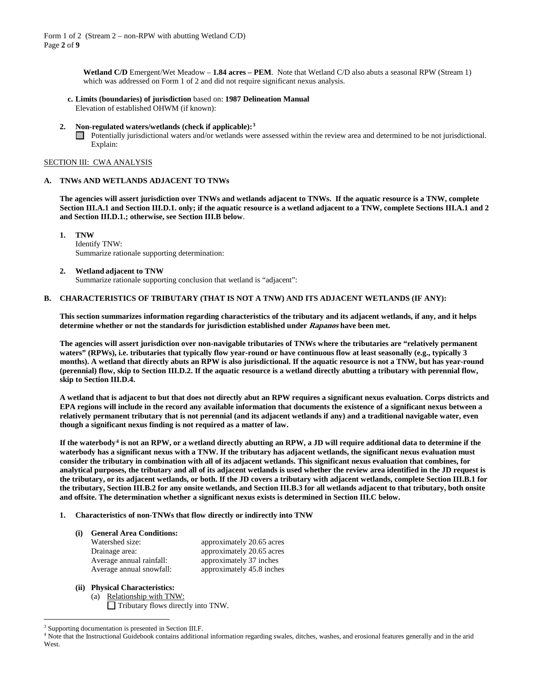**Wetland C/D** Emergent/Wet Meadow – **1.84 acres – PEM**. Note that Wetland C/D also abuts a seasonal RPW (Stream 1) which was addressed on Form 1 of 2 and did not require significant nexus analysis.

**c. Limits (boundaries) of jurisdiction** based on: **1987 Delineation Manual** Elevation of established OHWM (if known):

#### **2. Non-regulated waters/wetlands (check if applicable):[3](#page-11-0)**

Potentially jurisdictional waters and/or wetlands were assessed within the review area and determined to be not jurisdictional. Explain:

#### SECTION III: CWA ANALYSIS

#### **A. TNWs AND WETLANDS ADJACENT TO TNWs**

**The agencies will assert jurisdiction over TNWs and wetlands adjacent to TNWs. If the aquatic resource is a TNW, complete Section III.A.1 and Section III.D.1. only; if the aquatic resource is a wetland adjacent to a TNW, complete Sections III.A.1 and 2 and Section III.D.1.; otherwise, see Section III.B below**.

**1. TNW**  Identify TNW: Summarize rationale supporting determination:

#### **2. Wetland adjacent to TNW**

Summarize rationale supporting conclusion that wetland is "adjacent":

## **B. CHARACTERISTICS OF TRIBUTARY (THAT IS NOT A TNW) AND ITS ADJACENT WETLANDS (IF ANY):**

**This section summarizes information regarding characteristics of the tributary and its adjacent wetlands, if any, and it helps determine whether or not the standards for jurisdiction established under Rapanos have been met.** 

**The agencies will assert jurisdiction over non-navigable tributaries of TNWs where the tributaries are "relatively permanent waters" (RPWs), i.e. tributaries that typically flow year-round or have continuous flow at least seasonally (e.g., typically 3 months). A wetland that directly abuts an RPW is also jurisdictional. If the aquatic resource is not a TNW, but has year-round (perennial) flow, skip to Section III.D.2. If the aquatic resource is a wetland directly abutting a tributary with perennial flow, skip to Section III.D.4.**

**A wetland that is adjacent to but that does not directly abut an RPW requires a significant nexus evaluation. Corps districts and EPA regions will include in the record any available information that documents the existence of a significant nexus between a relatively permanent tributary that is not perennial (and its adjacent wetlands if any) and a traditional navigable water, even though a significant nexus finding is not required as a matter of law.**

**If the waterbody[4](#page-11-1) is not an RPW, or a wetland directly abutting an RPW, a JD will require additional data to determine if the waterbody has a significant nexus with a TNW. If the tributary has adjacent wetlands, the significant nexus evaluation must consider the tributary in combination with all of its adjacent wetlands. This significant nexus evaluation that combines, for analytical purposes, the tributary and all of its adjacent wetlands is used whether the review area identified in the JD request is the tributary, or its adjacent wetlands, or both. If the JD covers a tributary with adjacent wetlands, complete Section III.B.1 for the tributary, Section III.B.2 for any onsite wetlands, and Section III.B.3 for all wetlands adjacent to that tributary, both onsite and offsite. The determination whether a significant nexus exists is determined in Section III.C below.**

**1. Characteristics of non-TNWs that flow directly or indirectly into TNW**

# **(i) General Area Conditions:**

| Watershed size:          | approximately 20.65 acres |
|--------------------------|---------------------------|
| Drainage area:           | approximately 20.65 acres |
| Average annual rainfall: | approximately 37 inches   |
| Average annual snowfall: | approximately 45.8 inches |

- **(ii) Physical Characteristics:**
	- (a) Relationship with TNW: Tributary flows directly into TNW.

<span id="page-11-0"></span><sup>&</sup>lt;sup>3</sup> Supporting documentation is presented in Section III.F.

<span id="page-11-1"></span><sup>4</sup> Note that the Instructional Guidebook contains additional information regarding swales, ditches, washes, and erosional features generally and in the arid West.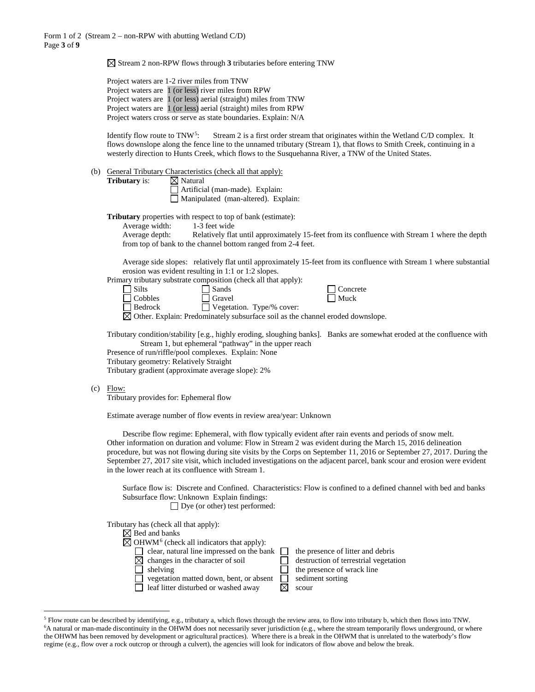$\boxtimes$  Stream 2 non-RPW flows through 3 tributaries before entering TNW

Project waters are 1-2 river miles from TNW Project waters are 1 (or less) river miles from RPW Project waters are 1 (or less) aerial (straight) miles from TNW Project waters are 1 (or less) aerial (straight) miles from RPW Project waters cross or serve as state boundaries. Explain: N/A

Identify flow route to TNW<sup>5</sup>: Stream 2 is a first order stream that originates within the Wetland C/D complex. It flows downslope along the fence line to the unnamed tributary (Stream 1), that flows to Smith Creek, continuing in a westerly direction to Hunts Creek, which flows to the Susquehanna River, a TNW of the United States.

(b) General Tributary Characteristics (check all that apply):

**Tributary** is:  $\boxtimes$  Natural

Artificial (man-made). Explain: Manipulated (man-altered). Explain:

**Tributary** properties with respect to top of bank (estimate):

Average width: 1-3 feet wide

| Average depth: | Relatively flat until approximately 15-feet from its confluence with Stream 1 where the depth |
|----------------|-----------------------------------------------------------------------------------------------|
|                | from top of bank to the channel bottom ranged from 2-4 feet.                                  |

Average side slopes: relatively flat until approximately 15-feet from its confluence with Stream 1 where substantial erosion was evident resulting in 1:1 or 1:2 slopes.

> $\Box$  Concrete  $\Box$  Muck

Primary tributary substrate composition (check all that apply):

| Silts                | Sands                                      |  |
|----------------------|--------------------------------------------|--|
| $\sqcap$ Cobbles     | Gravel                                     |  |
| $\Box$ Deduce $\Box$ | $\Box$ Vegetation $\Gamma_{\text{true}}/0$ |  |

Bedrock Vegetation. Type/% cover:

 $\boxtimes$  Other. Explain: Predominately subsurface soil as the channel eroded downslope.

Tributary condition/stability [e.g., highly eroding, sloughing banks]. Banks are somewhat eroded at the confluence with Stream 1, but ephemeral "pathway" in the upper reach

Presence of run/riffle/pool complexes. Explain: None

Tributary geometry: Relatively Straight

Tributary gradient (approximate average slope): 2%

 $(c)$  Flow:

Tributary provides for: Ephemeral flow

Estimate average number of flow events in review area/year: Unknown

Describe flow regime: Ephemeral, with flow typically evident after rain events and periods of snow melt. Other information on duration and volume: Flow in Stream 2 was evident during the March 15, 2016 delineation procedure, but was not flowing during site visits by the Corps on September 11, 2016 or September 27, 2017. During the September 27, 2017 site visit, which included investigations on the adjacent parcel, bank scour and erosion were evident in the lower reach at its confluence with Stream 1.

Surface flow is: Discrete and Confined. Characteristics: Flow is confined to a defined channel with bed and banks Subsurface flow: Unknown Explain findings: □ Dye (or other) test performed:

Tributary has (check all that apply):

| $\boxtimes$ Bed and banks                                        |                                       |
|------------------------------------------------------------------|---------------------------------------|
| $\boxtimes$ OHWM <sup>6</sup> (check all indicators that apply): |                                       |
| clear, natural line impressed on the bank $\Box$                 | the presence of litter and debris     |
| $\boxtimes$ changes in the character of soil                     | destruction of terrestrial vegetation |
| shelving                                                         | the presence of wrack line            |
| vegetation matted down, bent, or absent                          | sediment sorting                      |
| leaf litter disturbed or washed away                             | scour                                 |

<span id="page-12-1"></span><span id="page-12-0"></span> <sup>5</sup> Flow route can be described by identifying, e.g., tributary a, which flows through the review area, to flow into tributary b, which then flows into TNW. 6 A natural or man-made discontinuity in the OHWM does not necessarily sever jurisdiction (e.g., where the stream temporarily flows underground, or where the OHWM has been removed by development or agricultural practices). Where there is a break in the OHWM that is unrelated to the waterbody's flow regime (e.g., flow over a rock outcrop or through a culvert), the agencies will look for indicators of flow above and below the break.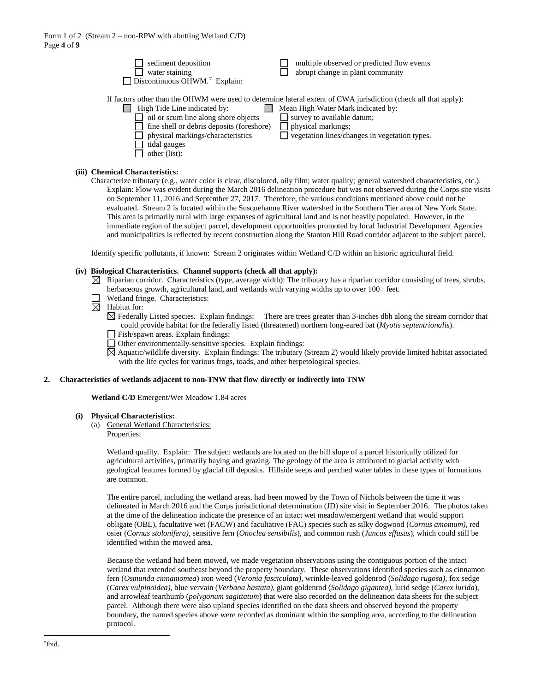| sediment deposition                                                                                                                                                                     | multiple observed or predicted flow events                                                                                                                                                                                                                         |
|-----------------------------------------------------------------------------------------------------------------------------------------------------------------------------------------|--------------------------------------------------------------------------------------------------------------------------------------------------------------------------------------------------------------------------------------------------------------------|
| water staining                                                                                                                                                                          | abrupt change in plant community                                                                                                                                                                                                                                   |
| Discontinuous OHWM. <sup>7</sup> Explain:                                                                                                                                               |                                                                                                                                                                                                                                                                    |
| High Tide Line indicated by:<br>oil or scum line along shore objects<br>fine shell or debris deposits (foreshore)<br>physical markings/characteristics<br>tidal gauges<br>other (list): | If factors other than the OHWM were used to determine lateral extent of CWA jurisdiction (check all that apply):<br>Mean High Water Mark indicated by:<br>survey to available datum;<br>physical markings;<br>$\Box$ vegetation lines/changes in vegetation types. |
|                                                                                                                                                                                         |                                                                                                                                                                                                                                                                    |

# **(iii) Chemical Characteristics:**

Characterize tributary (e.g., water color is clear, discolored, oily film; water quality; general watershed characteristics, etc.). Explain: Flow was evident during the March 2016 delineation procedure but was not observed during the Corps site visits on September 11, 2016 and September 27, 2017. Therefore, the various conditions mentioned above could not be evaluated. Stream 2 is located within the Susquehanna River watershed in the Southern Tier area of New York State. This area is primarily rural with large expanses of agricultural land and is not heavily populated. However, in the immediate region of the subject parcel, development opportunities promoted by local Industrial Development Agencies and municipalities is reflected by recent construction along the Stanton Hill Road corridor adjacent to the subject parcel.

Identify specific pollutants, if known: Stream 2 originates within Wetland C/D within an historic agricultural field.

#### **(iv) Biological Characteristics. Channel supports (check all that apply):**

- $\boxtimes$  Riparian corridor. Characteristics (type, average width): The tributary has a riparian corridor consisting of trees, shrubs, herbaceous growth, agricultural land, and wetlands with varying widths up to over 100+ feet.
	- Wetland fringe. Characteristics:
- $\boxtimes$  Habitat for:

 $\boxtimes$  Federally Listed species. Explain findings: There are trees greater than 3-inches dbh along the stream corridor that could provide habitat for the federally listed (threatened) northern long-eared bat (*Myotis septentrionalis*).

- Fish/spawn areas. Explain findings:
- Other environmentally-sensitive species. Explain findings:

 $\boxtimes$  Aquatic/wildlife diversity. Explain findings: The tributary (Stream 2) would likely provide limited habitat associated with the life cycles for various frogs, toads, and other herpetological species.

#### **2. Characteristics of wetlands adjacent to non-TNW that flow directly or indirectly into TNW**

**Wetland C/D** Emergent/Wet Meadow 1.84 acres

#### **(i) Physical Characteristics:**

- (a) General Wetland Characteristics:
	- Properties:

Wetland quality. Explain: The subject wetlands are located on the hill slope of a parcel historically utilized for agricultural activities, primarily haying and grazing. The geology of the area is attributed to glacial activity with geological features formed by glacial till deposits. Hillside seeps and perched water tables in these types of formations are common.

The entire parcel, including the wetland areas, had been mowed by the Town of Nichols between the time it was delineated in March 2016 and the Corps jurisdictional determination (JD) site visit in September 2016. The photos taken at the time of the delineation indicate the presence of an intact wet meadow/emergent wetland that would support obligate (OBL), facultative wet (FACW) and facultative (FAC) species such as silky dogwood (*Cornus amomum),* red osier (*Cornus stolonifera),* sensitive fern (*Onoclea sensibilis*), and common rush (*Juncus effusus*), which could still be identified within the mowed area.

<span id="page-13-0"></span>Because the wetland had been mowed, we made vegetation observations using the contiguous portion of the intact wetland that extended southeast beyond the property boundary. These observations identified species such as cinnamon fern (*Osmunda cinnamomea*) iron weed (*Veronia fasciculata)*, wrinkle-leaved goldenrod (*Solidago rugosa)*, fox sedge (*Carex vulpinoidea)*, blue vervain (*Verbana hastata)*, giant goldenrod (*Solidago gigantea)*, lurid sedge (*Carex lurida*), and arrowleaf tearthumb (*polygonum sagittatum*) that were also recorded on the delineation data sheets for the subject parcel. Although there were also upland species identified on the data sheets and observed beyond the property boundary, the named species above were recorded as dominant within the sampling area, according to the delineation protocol.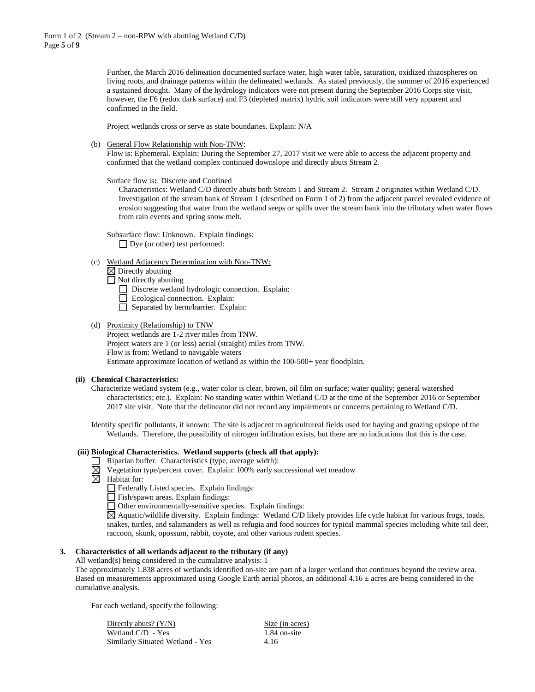Further, the March 2016 delineation documented surface water, high water table, saturation, oxidized rhizospheres on living roots, and drainage patterns within the delineated wetlands. As stated previously, the summer of 2016 experienced a sustained drought. Many of the hydrology indicators were not present during the September 2016 Corps site visit, however, the F6 (redox dark surface) and F3 (depleted matrix) hydric soil indicators were still very apparent and confirmed in the field.

Project wetlands cross or serve as state boundaries. Explain: N/A

(b) General Flow Relationship with Non-TNW:

Flow is: Ephemeral. Explain: During the September 27, 2017 visit we were able to access the adjacent property and confirmed that the wetland complex continued downslope and directly abuts Stream 2.

Surface flow is**:** Discrete and Confined

Characteristics: Wetland C/D directly abuts both Stream 1 and Stream 2. Stream 2 originates within Wetland C/D. Investigation of the stream bank of Stream 1 (described on Form 1 of 2) from the adjacent parcel revealed evidence of erosion suggesting that water from the wetland seeps or spills over the stream bank into the tributary when water flows from rain events and spring snow melt.

Subsurface flow: Unknown. Explain findings: □ Dye (or other) test performed:

(c) Wetland Adjacency Determination with Non-TNW:

 $\boxtimes$  Directly abutting

- $\Box$  Not directly abutting
	- Discrete wetland hydrologic connection. Explain:
	- Ecological connection. Explain:
	- Separated by berm/barrier. Explain:

#### (d) Proximity (Relationship) to TNW

Project wetlands are 1-2 river miles from TNW. Project waters are 1 (or less) aerial (straight) miles from TNW. Flow is from: Wetland to navigable waters Estimate approximate location of wetland as within the 100-500+ year floodplain.

#### **(ii) Chemical Characteristics:**

Characterize wetland system (e.g., water color is clear, brown, oil film on surface; water quality; general watershed characteristics; etc.). Explain: No standing water within Wetland C/D at the time of the September 2016 or September 2017 site visit. Note that the delineator did not record any impairments or concerns pertaining to Wetland C/D.

 Identify specific pollutants, if known: The site is adjacent to agricultureal fields used for haying and grazing upslope of the Wetlands. Therefore, the possibility of nitrogen infiltration exists, but there are no indications that this is the case.

# **(iii) Biological Characteristics. Wetland supports (check all that apply):**

- $\Box$  Riparian buffer. Characteristics (type, average width):
- $\boxtimes$ Vegetation type/percent cover. Explain: 100% early successional wet meadow
- $\overline{\boxtimes}$  Habitat for:
	- Federally Listed species. Explain findings:
	- Fish/spawn areas. Explain findings:
	- Other environmentally-sensitive species. Explain findings:

Aquatic/wildlife diversity. Explain findings: Wetland C/D likely provides life cycle habitat for various frogs, toads, snakes, turtles, and salamanders as well as refugia and food sources for typical mammal species including white tail deer, raccoon, skunk, opossum, rabbit, coyote, and other various rodent species.

# **3. Characteristics of all wetlands adjacent to the tributary (if any)**

All wetland(s) being considered in the cumulative analysis: 1

The approximately 1.838 acres of wetlands identified on-site are part of a larger wetland that continues beyond the review area. Based on measurements approximated using Google Earth aerial photos, an additional  $4.16 \pm$  acres are being considered in the cumulative analysis.

For each wetland, specify the following:

| Directly abuts? $(Y/N)$          | Size (in acres) |
|----------------------------------|-----------------|
| Wetland $C/D - Yes$              | 1.84 on-site    |
| Similarly Situated Wetland - Yes | 4.16            |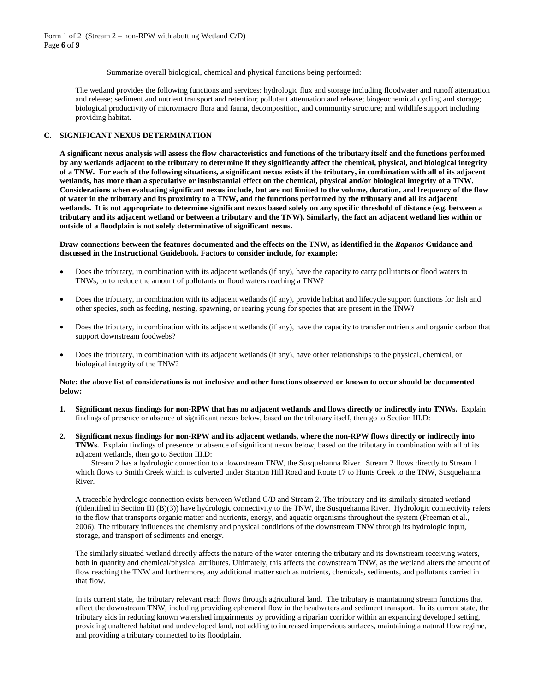Summarize overall biological, chemical and physical functions being performed:

The wetland provides the following functions and services: hydrologic flux and storage including floodwater and runoff attenuation and release; sediment and nutrient transport and retention; pollutant attenuation and release; biogeochemical cycling and storage; biological productivity of micro/macro flora and fauna, decomposition, and community structure; and wildlife support including providing habitat.

## **C. SIGNIFICANT NEXUS DETERMINATION**

**A significant nexus analysis will assess the flow characteristics and functions of the tributary itself and the functions performed by any wetlands adjacent to the tributary to determine if they significantly affect the chemical, physical, and biological integrity of a TNW. For each of the following situations, a significant nexus exists if the tributary, in combination with all of its adjacent wetlands, has more than a speculative or insubstantial effect on the chemical, physical and/or biological integrity of a TNW. Considerations when evaluating significant nexus include, but are not limited to the volume, duration, and frequency of the flow of water in the tributary and its proximity to a TNW, and the functions performed by the tributary and all its adjacent wetlands. It is not appropriate to determine significant nexus based solely on any specific threshold of distance (e.g. between a tributary and its adjacent wetland or between a tributary and the TNW). Similarly, the fact an adjacent wetland lies within or outside of a floodplain is not solely determinative of significant nexus.** 

#### **Draw connections between the features documented and the effects on the TNW, as identified in the** *Rapanos* **Guidance and discussed in the Instructional Guidebook. Factors to consider include, for example:**

- Does the tributary, in combination with its adjacent wetlands (if any), have the capacity to carry pollutants or flood waters to TNWs, or to reduce the amount of pollutants or flood waters reaching a TNW?
- Does the tributary, in combination with its adjacent wetlands (if any), provide habitat and lifecycle support functions for fish and other species, such as feeding, nesting, spawning, or rearing young for species that are present in the TNW?
- Does the tributary, in combination with its adjacent wetlands (if any), have the capacity to transfer nutrients and organic carbon that support downstream foodwebs?
- Does the tributary, in combination with its adjacent wetlands (if any), have other relationships to the physical, chemical, or biological integrity of the TNW?

#### **Note: the above list of considerations is not inclusive and other functions observed or known to occur should be documented below:**

- **1. Significant nexus findings for non-RPW that has no adjacent wetlands and flows directly or indirectly into TNWs.** Explain findings of presence or absence of significant nexus below, based on the tributary itself, then go to Section III.D:
- **2. Significant nexus findings for non-RPW and its adjacent wetlands, where the non-RPW flows directly or indirectly into TNWs.** Explain findings of presence or absence of significant nexus below, based on the tributary in combination with all of its adjacent wetlands, then go to Section III.D:

Stream 2 has a hydrologic connection to a downstream TNW, the Susquehanna River. Stream 2 flows directly to Stream 1 which flows to Smith Creek which is culverted under Stanton Hill Road and Route 17 to Hunts Creek to the TNW, Susquehanna River.

A traceable hydrologic connection exists between Wetland C/D and Stream 2. The tributary and its similarly situated wetland ((identified in Section III (B)(3)) have hydrologic connectivity to the TNW, the Susquehanna River. Hydrologic connectivity refers to the flow that transports organic matter and nutrients, energy, and aquatic organisms throughout the system (Freeman et al., 2006). The tributary influences the chemistry and physical conditions of the downstream TNW through its hydrologic input, storage, and transport of sediments and energy.

The similarly situated wetland directly affects the nature of the water entering the tributary and its downstream receiving waters, both in quantity and chemical/physical attributes. Ultimately, this affects the downstream TNW, as the wetland alters the amount of flow reaching the TNW and furthermore, any additional matter such as nutrients, chemicals, sediments, and pollutants carried in that flow.

In its current state, the tributary relevant reach flows through agricultural land. The tributary is maintaining stream functions that affect the downstream TNW, including providing ephemeral flow in the headwaters and sediment transport. In its current state, the tributary aids in reducing known watershed impairments by providing a riparian corridor within an expanding developed setting, providing unaltered habitat and undeveloped land, not adding to increased impervious surfaces, maintaining a natural flow regime, and providing a tributary connected to its floodplain.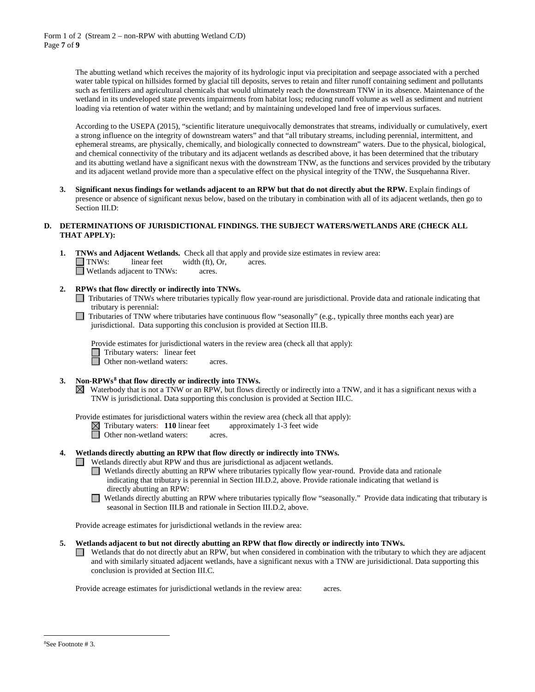The abutting wetland which receives the majority of its hydrologic input via precipitation and seepage associated with a perched water table typical on hillsides formed by glacial till deposits, serves to retain and filter runoff containing sediment and pollutants such as fertilizers and agricultural chemicals that would ultimately reach the downstream TNW in its absence. Maintenance of the wetland in its undeveloped state prevents impairments from habitat loss; reducing runoff volume as well as sediment and nutrient loading via retention of water within the wetland; and by maintaining undeveloped land free of impervious surfaces.

According to the USEPA (2015), "scientific literature unequivocally demonstrates that streams, individually or cumulatively, exert a strong influence on the integrity of downstream waters" and that "all tributary streams, including perennial, intermittent, and ephemeral streams, are physically, chemically, and biologically connected to downstream" waters. Due to the physical, biological, and chemical connectivity of the tributary and its adjacent wetlands as described above, it has been determined that the tributary and its abutting wetland have a significant nexus with the downstream TNW, as the functions and services provided by the tributary and its adjacent wetland provide more than a speculative effect on the physical integrity of the TNW, the Susquehanna River.

**3. Significant nexus findings for wetlands adjacent to an RPW but that do not directly abut the RPW.** Explain findings of presence or absence of significant nexus below, based on the tributary in combination with all of its adjacent wetlands, then go to Section III.D:

# **D. DETERMINATIONS OF JURISDICTIONAL FINDINGS. THE SUBJECT WATERS/WETLANDS ARE (CHECK ALL THAT APPLY):**

|  |                                   |                 | <b>TNWs and Adjacent Wetlands.</b> Check all that apply and provide size estimates in review area: |
|--|-----------------------------------|-----------------|----------------------------------------------------------------------------------------------------|
|  | $\Box$ TNWs: linear feet          | width (ft), Or, | acres.                                                                                             |
|  | $\Box$ Wetlands adjacent to TNWs: | acres.          |                                                                                                    |

- **2. RPWs that flow directly or indirectly into TNWs.**
	- Tributaries of TNWs where tributaries typically flow year-round are jurisdictional. Provide data and rationale indicating that tributary is perennial:
	- Tributaries of TNW where tributaries have continuous flow "seasonally" (e.g., typically three months each year) are jurisdictional. Data supporting this conclusion is provided at Section III.B.

Provide estimates for jurisdictional waters in the review area (check all that apply):



**d** Other non-wetland waters: acres.

- **3. Non-RPWs[8](#page-16-0) that flow directly or indirectly into TNWs.**
	- $\boxtimes$  Waterbody that is not a TNW or an RPW, but flows directly or indirectly into a TNW, and it has a significant nexus with a TNW is jurisdictional. Data supporting this conclusion is provided at Section III.C.

Provide estimates for jurisdictional waters within the review area (check all that apply):

 $\boxtimes$  Tributary waters: **110** linear feet approximately 1-3 feet wide

**D** Other non-wetland waters: acres.

**4. Wetlands directly abutting an RPW that flow directly or indirectly into TNWs.** 

Wetlands directly abut RPW and thus are jurisdictional as adjacent wetlands.

- Wetlands directly abutting an RPW where tributaries typically flow year-round. Provide data and rationale indicating that tributary is perennial in Section III.D.2, above. Provide rationale indicating that wetland is directly abutting an RPW:
- $\Box$ Wetlands directly abutting an RPW where tributaries typically flow "seasonally." Provide data indicating that tributary is seasonal in Section III.B and rationale in Section III.D.2, above.

Provide acreage estimates for jurisdictional wetlands in the review area:

- **5. Wetlands adjacent to but not directly abutting an RPW that flow directly or indirectly into TNWs.**
	- Wetlands that do not directly abut an RPW, but when considered in combination with the tributary to which they are adjacent and with similarly situated adjacent wetlands, have a significant nexus with a TNW are jurisidictional. Data supporting this conclusion is provided at Section III.C.

<span id="page-16-0"></span>Provide acreage estimates for jurisdictional wetlands in the review area: acres.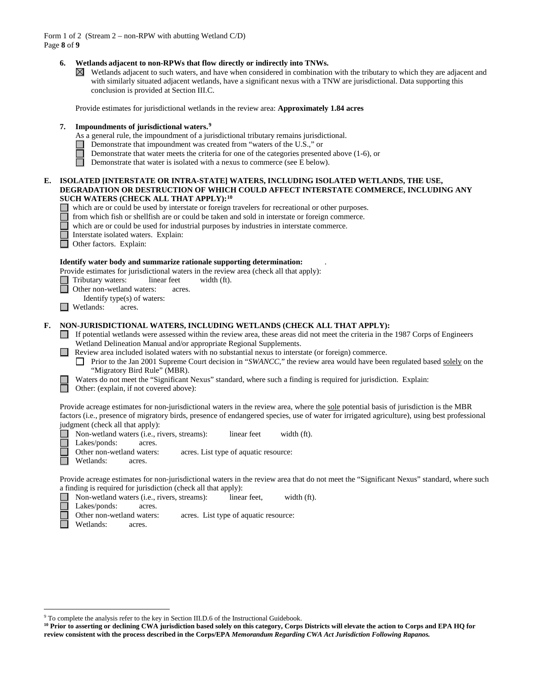Form 1 of 2 (Stream 2 – non-RPW with abutting Wetland C/D) Page **8** of **9**

# **6. Wetlands adjacent to non-RPWs that flow directly or indirectly into TNWs.**

 $\boxtimes$  Wetlands adjacent to such waters, and have when considered in combination with the tributary to which they are adjacent and with similarly situated adjacent wetlands, have a significant nexus with a TNW are jurisdictional. Data supporting this conclusion is provided at Section III.C.

Provide estimates for jurisdictional wetlands in the review area: **Approximately 1.84 acres**

# **7. Impoundments of jurisdictional waters. [9](#page-17-0)**

- As a general rule, the impoundment of a jurisdictional tributary remains jurisdictional.
- Demonstrate that impoundment was created from "waters of the U.S.," or
- Demonstrate that water meets the criteria for one of the categories presented above (1-6), or
- $\Box$ Demonstrate that water is isolated with a nexus to commerce (see E below).

## **E. ISOLATED [INTERSTATE OR INTRA-STATE] WATERS, INCLUDING ISOLATED WETLANDS, THE USE, DEGRADATION OR DESTRUCTION OF WHICH COULD AFFECT INTERSTATE COMMERCE, INCLUDING ANY SUCH WATERS (CHECK ALL THAT APPLY):[10](#page-17-1)**

- which are or could be used by interstate or foreign travelers for recreational or other purposes.
- from which fish or shellfish are or could be taken and sold in interstate or foreign commerce.
- which are or could be used for industrial purposes by industries in interstate commerce.
- Interstate isolated waters.Explain:
- Other factors.Explain:

# **Identify water body and summarize rationale supporting determination:** .

- Provide estimates for jurisdictional waters in the review area (check all that apply):
- Tributary waters: linear feet width (ft).
- П Other non-wetland waters: acres.
- Identify type(s) of waters:
- $\Box$  Wetlands: acres.

# **F. NON-JURISDICTIONAL WATERS, INCLUDING WETLANDS (CHECK ALL THAT APPLY):**

- $\Box$  If potential wetlands were assessed within the review area, these areas did not meet the criteria in the 1987 Corps of Engineers Wetland Delineation Manual and/or appropriate Regional Supplements.
- **Review area included isolated waters with no substantial nexus to interstate (or foreign) commerce.** 
	- **Prior to the Jan 2001 Supreme Court decision in "***SWANCC***," the review area would have been regulated based solely on the** "Migratory Bird Rule" (MBR).
	- Waters do not meet the "Significant Nexus" standard, where such a finding is required for jurisdiction. Explain:
	- Other: (explain, if not covered above):

Provide acreage estimates for non-jurisdictional waters in the review area, where the sole potential basis of jurisdiction is the MBR factors (i.e., presence of migratory birds, presence of endangered species, use of water for irrigated agriculture), using best professional judgment (check all that apply):

Non-wetland waters (i.e., rivers, streams): linear feet width (ft).

Lakes/ponds: acres.

- Other non-wetland waters: acres. List type of aquatic resource:
- Wetlands: acres.

Provide acreage estimates for non-jurisdictional waters in the review area that do not meet the "Significant Nexus" standard, where such a finding is required for jurisdiction (check all that apply):

Non-wetland waters (i.e., rivers, streams): linear feet, width (ft).

Lakes/ponds: acres.<br>Other non-wetland waters:

- acres. List type of aquatic resource:
- Wetlands: acres.

<span id="page-17-0"></span> <sup>9</sup> To complete the analysis refer to the key in Section III.D.6 of the Instructional Guidebook.

<span id="page-17-1"></span>**<sup>10</sup> Prior to asserting or declining CWA jurisdiction based solely on this category, Corps Districts will elevate the action to Corps and EPA HQ for review consistent with the process described in the Corps/EPA** *Memorandum Regarding CWA Act Jurisdiction Following Rapanos.*